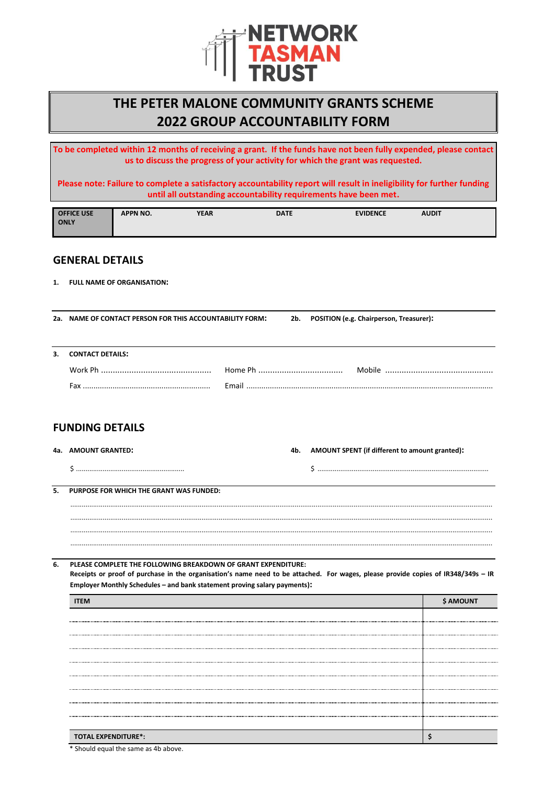

## **THE PETER MALONE COMMUNITY GRANTS SCHEME 2022 GROUP ACCOUNTABILITY FORM**

**To be completed within 12 months of receiving a grant. If the funds have not been fully expended, please contact us to discuss the progress of your activity for which the grant was requested.**

**Please note: Failure to complete a satisfactory accountability report will result in ineligibility for further funding until all outstanding accountability requirements have been met.**

| <b>OFFICE USE</b> | <b>APPN NO.</b> | YEAR | <b>DATE</b> | <b>EVIDENCE</b> | <b>AUDIT</b> |  |
|-------------------|-----------------|------|-------------|-----------------|--------------|--|
| <b>ONLY</b>       |                 |      |             |                 |              |  |
|                   |                 |      |             |                 |              |  |

## **GENERAL DETAILS**

**1. FULL NAME OF ORGANISATION:**

**2a. NAME OF CONTACT PERSON FOR THIS ACCOUNTABILITY FORM: 2b. POSITION (e.g. Chairperson, Treasurer):**

**3. CONTACT DETAILS:**

| __ |  |
|----|--|
|    |  |
|    |  |

## **FUNDING DETAILS**

| 4a.    AMOUNT GRANTED: | 4b. | AMOUNT SPENT (if different to amount granted): |
|------------------------|-----|------------------------------------------------|
|                        |     |                                                |

**5. PURPOSE FOR WHICH THE GRANT WAS FUNDED:**

..............................................................................................................................................................................................................................

**6. PLEASE COMPLETE THE FOLLOWING BREAKDOWN OF GRANT EXPENDITURE: Receipts or proof of purchase in the organisation's name need to be attached. For wages, please provide copies of IR348/349s – IR Employer Monthly Schedules – and bank statement proving salary payments):**

.............................................................................................................................................................................................................................. .............................................................................................................................................................................................................................. ..............................................................................................................................................................................................................................

| <b>TOTAL EXPENDITURE*:</b> |  |
|----------------------------|--|

\* Should equal the same as 4b above.